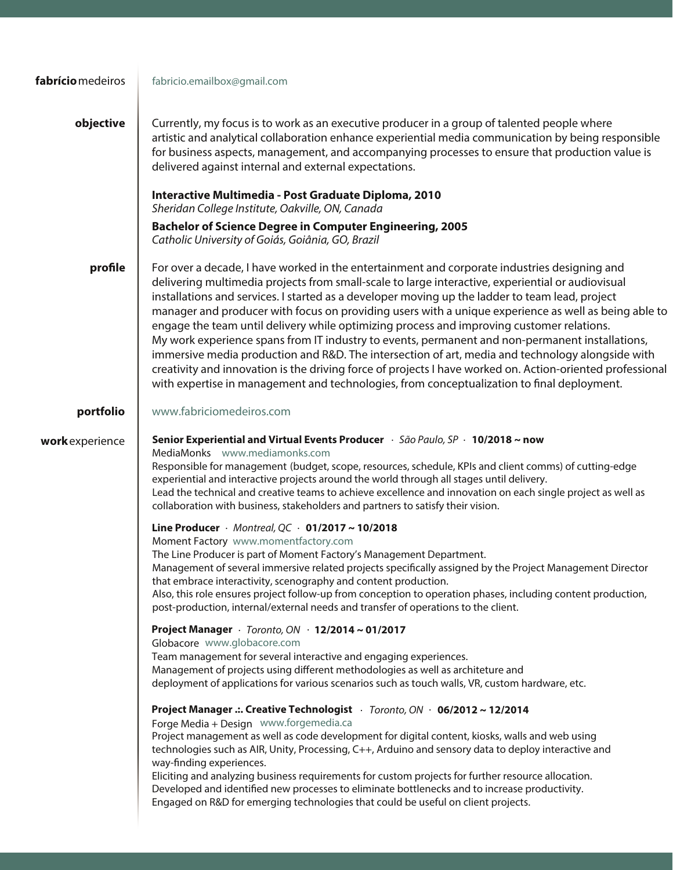| fabrício medeiros | fabricio.emailbox@gmail.com                                                                                                                                                                                                                                                                                                                                                                                                                                                                                                                                                                                                                                                                                                                                                                                                                                                                                                 |
|-------------------|-----------------------------------------------------------------------------------------------------------------------------------------------------------------------------------------------------------------------------------------------------------------------------------------------------------------------------------------------------------------------------------------------------------------------------------------------------------------------------------------------------------------------------------------------------------------------------------------------------------------------------------------------------------------------------------------------------------------------------------------------------------------------------------------------------------------------------------------------------------------------------------------------------------------------------|
| objective         | Currently, my focus is to work as an executive producer in a group of talented people where<br>artistic and analytical collaboration enhance experiential media communication by being responsible<br>for business aspects, management, and accompanying processes to ensure that production value is<br>delivered against internal and external expectations.                                                                                                                                                                                                                                                                                                                                                                                                                                                                                                                                                              |
|                   | Interactive Multimedia - Post Graduate Diploma, 2010<br>Sheridan College Institute, Oakville, ON, Canada                                                                                                                                                                                                                                                                                                                                                                                                                                                                                                                                                                                                                                                                                                                                                                                                                    |
|                   | <b>Bachelor of Science Degree in Computer Engineering, 2005</b><br>Catholic University of Goiás, Goiânia, GO, Brazil                                                                                                                                                                                                                                                                                                                                                                                                                                                                                                                                                                                                                                                                                                                                                                                                        |
| profile           | For over a decade, I have worked in the entertainment and corporate industries designing and<br>delivering multimedia projects from small-scale to large interactive, experiential or audiovisual<br>installations and services. I started as a developer moving up the ladder to team lead, project<br>manager and producer with focus on providing users with a unique experience as well as being able to<br>engage the team until delivery while optimizing process and improving customer relations.<br>My work experience spans from IT industry to events, permanent and non-permanent installations,<br>immersive media production and R&D. The intersection of art, media and technology alongside with<br>creativity and innovation is the driving force of projects I have worked on. Action-oriented professional<br>with expertise in management and technologies, from conceptualization to final deployment. |
| portfolio         | www.fabriciomedeiros.com                                                                                                                                                                                                                                                                                                                                                                                                                                                                                                                                                                                                                                                                                                                                                                                                                                                                                                    |
| work experience   | Senior Experiential and Virtual Events Producer $\cdot$ São Paulo, SP $\cdot$ 10/2018 ~ now<br>MediaMonks www.mediamonks.com<br>Responsible for management (budget, scope, resources, schedule, KPIs and client comms) of cutting-edge<br>experiential and interactive projects around the world through all stages until delivery.<br>Lead the technical and creative teams to achieve excellence and innovation on each single project as well as<br>collaboration with business, stakeholders and partners to satisfy their vision.                                                                                                                                                                                                                                                                                                                                                                                      |
|                   | Line Producer · Montreal, QC · 01/2017 ~ 10/2018<br>Moment Factory www.momentfactory.com<br>The Line Producer is part of Moment Factory's Management Department.<br>Management of several immersive related projects specifically assigned by the Project Management Director<br>that embrace interactivity, scenography and content production.<br>Also, this role ensures project follow-up from conception to operation phases, including content production,<br>post-production, internal/external needs and transfer of operations to the client.                                                                                                                                                                                                                                                                                                                                                                      |
|                   | Project Manager $\cdot$ Toronto, ON $\cdot$ 12/2014 ~ 01/2017<br>Globacore www.globacore.com<br>Team management for several interactive and engaging experiences.<br>Management of projects using different methodologies as well as architeture and<br>deployment of applications for various scenarios such as touch walls, VR, custom hardware, etc.                                                                                                                                                                                                                                                                                                                                                                                                                                                                                                                                                                     |
|                   | Project Manager .: Creative Technologist · Toronto, ON · 06/2012 ~ 12/2014<br>Forge Media + Design www.forgemedia.ca<br>Project management as well as code development for digital content, kiosks, walls and web using<br>technologies such as AIR, Unity, Processing, C++, Arduino and sensory data to deploy interactive and<br>way-finding experiences.<br>Eliciting and analyzing business requirements for custom projects for further resource allocation.<br>Developed and identified new processes to eliminate bottlenecks and to increase productivity.<br>Engaged on R&D for emerging technologies that could be useful on client projects.                                                                                                                                                                                                                                                                     |